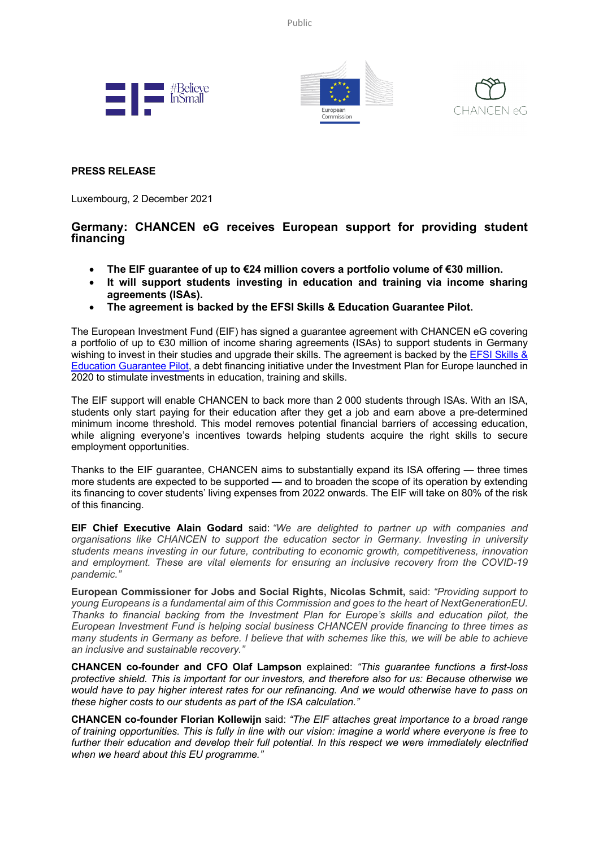Public







## **PRESS RELEASE**

Luxembourg, 2 December 2021

## **Germany: CHANCEN eG receives European support for providing student financing**

- **The EIF guarantee of up to €24 million covers a portfolio volume of €30 million.**
- **It will support students investing in education and training via income sharing agreements (ISAs).**
- **The agreement is backed by the EFSI Skills & Education Guarantee Pilot.**

The European Investment Fund (EIF) has signed a guarantee agreement with CHANCEN eG covering a portfolio of up to €30 million of income sharing agreements (ISAs) to support students in Germany wishing to invest in their studies and upgrade their skills. The agreement is backed by the EFSI Skills & Education Guarantee Pilot, a debt financing initiative under the Investment Plan for Europe launched in 2020 to stimulate investments in education, training and skills.

The EIF support will enable CHANCEN to back more than 2 000 students through ISAs. With an ISA, students only start paying for their education after they get a job and earn above a pre-determined minimum income threshold. This model removes potential financial barriers of accessing education, while aligning everyone's incentives towards helping students acquire the right skills to secure employment opportunities.

Thanks to the EIF guarantee, CHANCEN aims to substantially expand its ISA offering — three times more students are expected to be supported — and to broaden the scope of its operation by extending its financing to cover students' living expenses from 2022 onwards. The EIF will take on 80% of the risk of this financing.

**EIF Chief Executive Alain Godard** said: *"We are delighted to partner up with companies and organisations like CHANCEN to support the education sector in Germany. Investing in university students means investing in our future, contributing to economic growth, competitiveness, innovation and employment. These are vital elements for ensuring an inclusive recovery from the COVID-19 pandemic."* 

**European Commissioner for Jobs and Social Rights, Nicolas Schmit,** said: *"Providing support to young Europeans is a fundamental aim of this Commission and goes to the heart of NextGenerationEU. Thanks to financial backing from the Investment Plan for Europe's skills and education pilot, the European Investment Fund is helping social business CHANCEN provide financing to three times as many students in Germany as before. I believe that with schemes like this, we will be able to achieve an inclusive and sustainable recovery."*

**CHANCEN co-founder and CFO Olaf Lampson** explained: *"This guarantee functions a first-loss protective shield. This is important for our investors, and therefore also for us: Because otherwise we would have to pay higher interest rates for our refinancing. And we would otherwise have to pass on these higher costs to our students as part of the ISA calculation."*

**CHANCEN co-founder Florian Kollewijn** said: *"The EIF attaches great importance to a broad range of training opportunities. This is fully in line with our vision: imagine a world where everyone is free to further their education and develop their full potential. In this respect we were immediately electrified when we heard about this EU programme."*